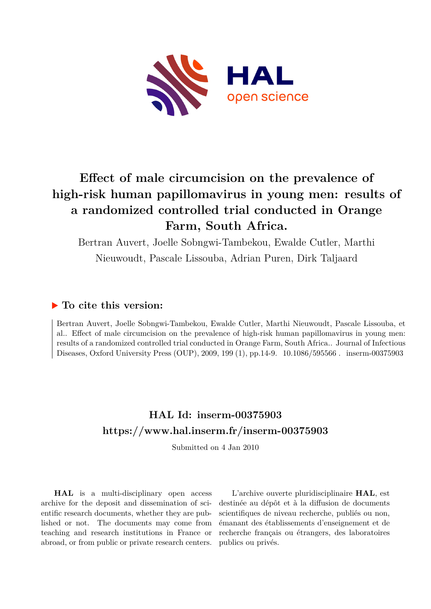

# **Effect of male circumcision on the prevalence of high-risk human papillomavirus in young men: results of a randomized controlled trial conducted in Orange Farm, South Africa.**

Bertran Auvert, Joelle Sobngwi-Tambekou, Ewalde Cutler, Marthi Nieuwoudt, Pascale Lissouba, Adrian Puren, Dirk Taljaard

# **To cite this version:**

Bertran Auvert, Joelle Sobngwi-Tambekou, Ewalde Cutler, Marthi Nieuwoudt, Pascale Lissouba, et al.. Effect of male circumcision on the prevalence of high-risk human papillomavirus in young men: results of a randomized controlled trial conducted in Orange Farm, South Africa.. Journal of Infectious Diseases, Oxford University Press (OUP), 2009, 199 (1), pp.14-9. 10.1086/595566. inserm-00375903

# **HAL Id: inserm-00375903 <https://www.hal.inserm.fr/inserm-00375903>**

Submitted on 4 Jan 2010

**HAL** is a multi-disciplinary open access archive for the deposit and dissemination of scientific research documents, whether they are published or not. The documents may come from teaching and research institutions in France or abroad, or from public or private research centers.

L'archive ouverte pluridisciplinaire **HAL**, est destinée au dépôt et à la diffusion de documents scientifiques de niveau recherche, publiés ou non, émanant des établissements d'enseignement et de recherche français ou étrangers, des laboratoires publics ou privés.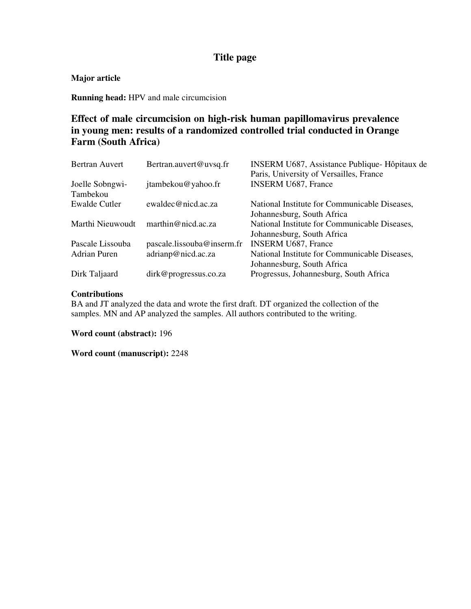# **Title page**

# **Major article**

**Running head:** HPV and male circumcision

# **Effect of male circumcision on high-risk human papillomavirus prevalence in young men: results of a randomized controlled trial conducted in Orange Farm (South Africa)**

| <b>Bertran Auvert</b> | Bertran.auvert@uvsq.fr     | INSERM U687, Assistance Publique-Hôpitaux de  |
|-----------------------|----------------------------|-----------------------------------------------|
|                       |                            | Paris, University of Versailles, France       |
| Joelle Sobngwi-       | jtambekou@yahoo.fr         | <b>INSERM U687, France</b>                    |
| Tambekou              |                            |                                               |
| <b>Ewalde Cutler</b>  | ewaldec@nicd.ac.za         | National Institute for Communicable Diseases, |
|                       |                            | Johannesburg, South Africa                    |
| Marthi Nieuwoudt      | marthin@nicd.ac.za         | National Institute for Communicable Diseases, |
|                       |                            | Johannesburg, South Africa                    |
| Pascale Lissouba      | pascale.lissouba@inserm.fr | <b>INSERM U687, France</b>                    |
| <b>Adrian Puren</b>   | adrianp@nicd.ac.za         | National Institute for Communicable Diseases, |
|                       |                            | Johannesburg, South Africa                    |
| Dirk Taljaard         | dirk@progressus.co.za      | Progressus, Johannesburg, South Africa        |

### **Contributions**

BA and JT analyzed the data and wrote the first draft. DT organized the collection of the samples. MN and AP analyzed the samples. All authors contributed to the writing.

**Word count (abstract):** 196

**Word count (manuscript):** 2248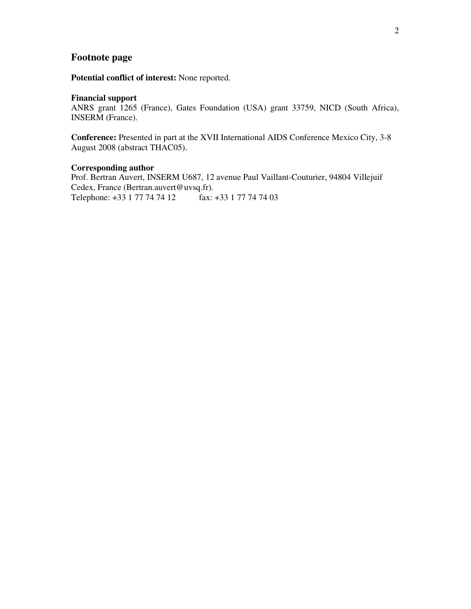# **Footnote page**

**Potential conflict of interest:** None reported.

#### **Financial support**

ANRS grant 1265 (France), Gates Foundation (USA) grant 33759, NICD (South Africa), INSERM (France).

**Conference:** Presented in part at the XVII International AIDS Conference Mexico City, 3-8 August 2008 (abstract THAC05).

#### **Corresponding author**

Prof. Bertran Auvert, INSERM U687, 12 avenue Paul Vaillant-Couturier, 94804 Villejuif Cedex, France (Bertran.auvert@uvsq.fr). Telephone: +33 1 77 74 74 12 fax: +33 1 77 74 74 03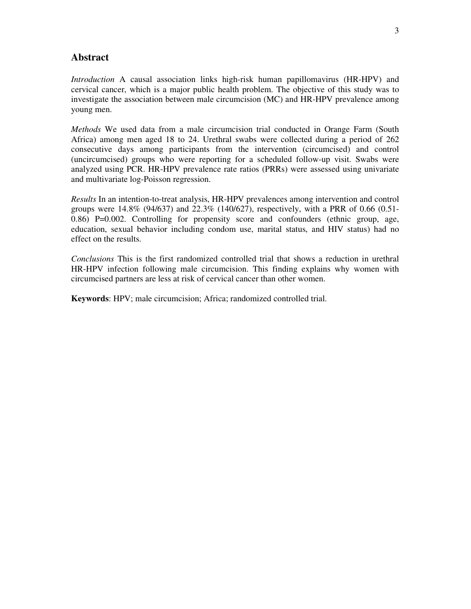# **Abstract**

*Introduction* A causal association links high-risk human papillomavirus (HR-HPV) and cervical cancer, which is a major public health problem. The objective of this study was to investigate the association between male circumcision (MC) and HR-HPV prevalence among young men.

*Methods* We used data from a male circumcision trial conducted in Orange Farm (South Africa) among men aged 18 to 24. Urethral swabs were collected during a period of 262 consecutive days among participants from the intervention (circumcised) and control (uncircumcised) groups who were reporting for a scheduled follow-up visit. Swabs were analyzed using PCR. HR-HPV prevalence rate ratios (PRRs) were assessed using univariate and multivariate log-Poisson regression.

*Results* In an intention-to-treat analysis, HR-HPV prevalences among intervention and control groups were 14.8% (94/637) and 22.3% (140/627), respectively, with a PRR of 0.66 (0.51- 0.86) P=0.002. Controlling for propensity score and confounders (ethnic group, age, education, sexual behavior including condom use, marital status, and HIV status) had no effect on the results.

*Conclusions* This is the first randomized controlled trial that shows a reduction in urethral HR-HPV infection following male circumcision. This finding explains why women with circumcised partners are less at risk of cervical cancer than other women.

**Keywords**: HPV; male circumcision; Africa; randomized controlled trial.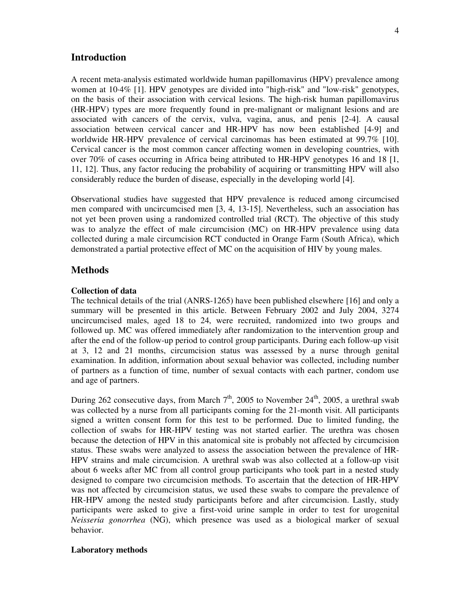#### **Introduction**

A recent meta-analysis estimated worldwide human papillomavirus (HPV) prevalence among women at 10·4% [1]. HPV genotypes are divided into "high-risk" and "low-risk" genotypes, on the basis of their association with cervical lesions. The high-risk human papillomavirus (HR-HPV) types are more frequently found in pre-malignant or malignant lesions and are associated with cancers of the cervix, vulva, vagina, anus, and penis [2-4]. A causal association between cervical cancer and HR-HPV has now been established [4-9] and worldwide HR-HPV prevalence of cervical carcinomas has been estimated at 99.7% [10]. Cervical cancer is the most common cancer affecting women in developing countries, with over 70% of cases occurring in Africa being attributed to HR-HPV genotypes 16 and 18 [1, 11, 12]. Thus, any factor reducing the probability of acquiring or transmitting HPV will also considerably reduce the burden of disease, especially in the developing world [4].

Observational studies have suggested that HPV prevalence is reduced among circumcised men compared with uncircumcised men [3, 4, 13-15]. Nevertheless, such an association has not yet been proven using a randomized controlled trial (RCT). The objective of this study was to analyze the effect of male circumcision (MC) on HR-HPV prevalence using data collected during a male circumcision RCT conducted in Orange Farm (South Africa), which demonstrated a partial protective effect of MC on the acquisition of HIV by young males.

#### **Methods**

#### **Collection of data**

The technical details of the trial (ANRS-1265) have been published elsewhere [16] and only a summary will be presented in this article. Between February 2002 and July 2004, 3274 uncircumcised males, aged 18 to 24, were recruited, randomized into two groups and followed up. MC was offered immediately after randomization to the intervention group and after the end of the follow-up period to control group participants. During each follow-up visit at 3, 12 and 21 months, circumcision status was assessed by a nurse through genital examination. In addition, information about sexual behavior was collected, including number of partners as a function of time, number of sexual contacts with each partner, condom use and age of partners.

During 262 consecutive days, from March  $7<sup>th</sup>$ , 2005 to November 24<sup>th</sup>, 2005, a urethral swab was collected by a nurse from all participants coming for the 21-month visit. All participants signed a written consent form for this test to be performed. Due to limited funding, the collection of swabs for HR-HPV testing was not started earlier. The urethra was chosen because the detection of HPV in this anatomical site is probably not affected by circumcision status. These swabs were analyzed to assess the association between the prevalence of HR-HPV strains and male circumcision. A urethral swab was also collected at a follow-up visit about 6 weeks after MC from all control group participants who took part in a nested study designed to compare two circumcision methods. To ascertain that the detection of HR-HPV was not affected by circumcision status, we used these swabs to compare the prevalence of HR-HPV among the nested study participants before and after circumcision. Lastly, study participants were asked to give a first-void urine sample in order to test for urogenital *Neisseria gonorrhea* (NG), which presence was used as a biological marker of sexual behavior.

#### **Laboratory methods**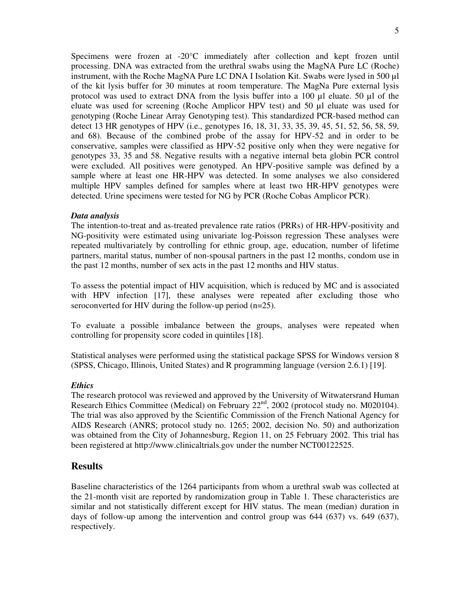Specimens were frozen at -20°C immediately after collection and kept frozen until processing. DNA was extracted from the urethral swabs using the MagNA Pure LC (Roche) instrument, with the Roche MagNA Pure LC DNA I Isolation Kit. Swabs were lysed in 500 µl of the kit lysis buffer for 30 minutes at room temperature. The MagNa Pure external lysis protocol was used to extract DNA from the lysis buffer into a 100 µl eluate. 50 µl of the eluate was used for screening (Roche Amplicor HPV test) and 50 µl eluate was used for genotyping (Roche Linear Array Genotyping test). This standardized PCR-based method can detect 13 HR genotypes of HPV (i.e., genotypes 16, 18, 31, 33, 35, 39, 45, 51, 52, 56, 58, 59, and 68). Because of the combined probe of the assay for HPV-52 and in order to be conservative, samples were classified as HPV-52 positive only when they were negative for genotypes 33, 35 and 58. Negative results with a negative internal beta globin PCR control were excluded. All positives were genotyped. An HPV-positive sample was defined by a sample where at least one HR-HPV was detected. In some analyses we also considered multiple HPV samples defined for samples where at least two HR-HPV genotypes were detected. Urine specimens were tested for NG by PCR (Roche Cobas Amplicor PCR).

#### *Data analysis*

The intention-to-treat and as-treated prevalence rate ratios (PRRs) of HR-HPV-positivity and NG-positivity were estimated using univariate log-Poisson regression These analyses were repeated multivariately by controlling for ethnic group, age, education, number of lifetime partners, marital status, number of non-spousal partners in the past 12 months, condom use in the past 12 months, number of sex acts in the past 12 months and HIV status.

To assess the potential impact of HIV acquisition, which is reduced by MC and is associated with HPV infection [17], these analyses were repeated after excluding those who seroconverted for HIV during the follow-up period (n=25).

To evaluate a possible imbalance between the groups, analyses were repeated when controlling for propensity score coded in quintiles [18].

Statistical analyses were performed using the statistical package SPSS for Windows version 8 (SPSS, Chicago, Illinois, United States) and R programming language (version 2.6.1) [19].

#### *Ethics*

The research protocol was reviewed and approved by the University of Witwatersrand Human Research Ethics Committee (Medical) on February 22<sup>nd</sup>, 2002 (protocol study no. M020104). The trial was also approved by the Scientific Commission of the French National Agency for AIDS Research (ANRS; protocol study no. 1265; 2002, decision No. 50) and authorization was obtained from the City of Johannesburg, Region 11, on 25 February 2002. This trial has been registered at http://www.clinicaltrials.gov under the number NCT00122525.

### **Results**

Baseline characteristics of the 1264 participants from whom a urethral swab was collected at the 21-month visit are reported by randomization group in Table 1. These characteristics are similar and not statistically different except for HIV status. The mean (median) duration in days of follow-up among the intervention and control group was 644 (637) vs. 649 (637), respectively.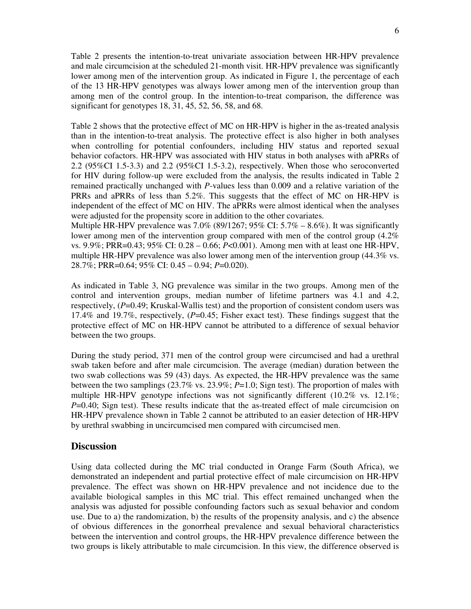Table 2 presents the intention-to-treat univariate association between HR-HPV prevalence and male circumcision at the scheduled 21-month visit. HR-HPV prevalence was significantly lower among men of the intervention group. As indicated in Figure 1, the percentage of each of the 13 HR-HPV genotypes was always lower among men of the intervention group than among men of the control group. In the intention-to-treat comparison, the difference was significant for genotypes 18, 31, 45, 52, 56, 58, and 68.

Table 2 shows that the protective effect of MC on HR-HPV is higher in the as-treated analysis than in the intention-to-treat analysis. The protective effect is also higher in both analyses when controlling for potential confounders, including HIV status and reported sexual behavior cofactors. HR-HPV was associated with HIV status in both analyses with aPRRs of 2.2 (95%CI 1.5-3.3) and 2.2 (95%CI 1.5-3.2), respectively. When those who seroconverted for HIV during follow-up were excluded from the analysis, the results indicated in Table 2 remained practically unchanged with *P*-values less than 0.009 and a relative variation of the PRRs and aPRRs of less than 5.2%. This suggests that the effect of MC on HR-HPV is independent of the effect of MC on HIV. The aPRRs were almost identical when the analyses were adjusted for the propensity score in addition to the other covariates.

Multiple HR-HPV prevalence was  $7.0\%$  (89/1267; 95% CI:  $5.7\%$  – 8.6%). It was significantly lower among men of the intervention group compared with men of the control group  $(4.2\%$ vs. 9.9%; PRR=0.43; 95% CI: 0.28 – 0.66; *P*<0.001). Among men with at least one HR-HPV, multiple HR-HPV prevalence was also lower among men of the intervention group (44.3% vs. 28.7%; PRR=0.64; 95% CI: 0.45 – 0.94; *P*=0.020).

As indicated in Table 3, NG prevalence was similar in the two groups. Among men of the control and intervention groups, median number of lifetime partners was 4.1 and 4.2, respectively, (*P*=0.49; Kruskal-Wallis test) and the proportion of consistent condom users was 17.4% and 19.7%, respectively, (*P*=0.45; Fisher exact test). These findings suggest that the protective effect of MC on HR-HPV cannot be attributed to a difference of sexual behavior between the two groups.

During the study period, 371 men of the control group were circumcised and had a urethral swab taken before and after male circumcision. The average (median) duration between the two swab collections was 59 (43) days. As expected, the HR-HPV prevalence was the same between the two samplings (23.7% vs. 23.9%; *P*=1.0; Sign test). The proportion of males with multiple HR-HPV genotype infections was not significantly different  $(10.2\% \text{ vs. } 12.1\%;$ *P*=0.40; Sign test). These results indicate that the as-treated effect of male circumcision on HR-HPV prevalence shown in Table 2 cannot be attributed to an easier detection of HR-HPV by urethral swabbing in uncircumcised men compared with circumcised men.

#### **Discussion**

Using data collected during the MC trial conducted in Orange Farm (South Africa), we demonstrated an independent and partial protective effect of male circumcision on HR-HPV prevalence. The effect was shown on HR-HPV prevalence and not incidence due to the available biological samples in this MC trial. This effect remained unchanged when the analysis was adjusted for possible confounding factors such as sexual behavior and condom use. Due to a) the randomization, b) the results of the propensity analysis, and c) the absence of obvious differences in the gonorrheal prevalence and sexual behavioral characteristics between the intervention and control groups, the HR-HPV prevalence difference between the two groups is likely attributable to male circumcision. In this view, the difference observed is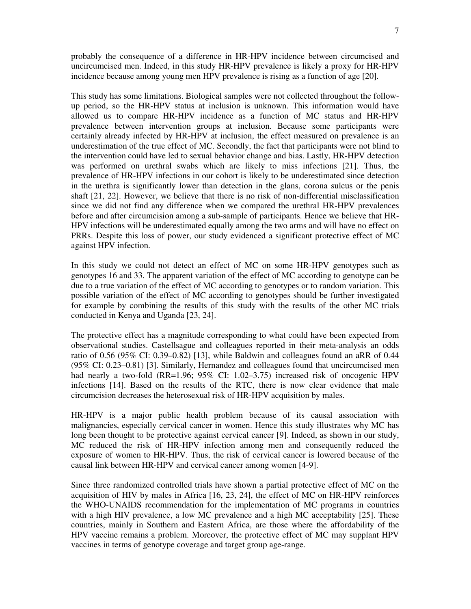probably the consequence of a difference in HR-HPV incidence between circumcised and uncircumcised men. Indeed, in this study HR-HPV prevalence is likely a proxy for HR-HPV incidence because among young men HPV prevalence is rising as a function of age [20].

This study has some limitations. Biological samples were not collected throughout the followup period, so the HR-HPV status at inclusion is unknown. This information would have allowed us to compare HR-HPV incidence as a function of MC status and HR-HPV prevalence between intervention groups at inclusion. Because some participants were certainly already infected by HR-HPV at inclusion, the effect measured on prevalence is an underestimation of the true effect of MC. Secondly, the fact that participants were not blind to the intervention could have led to sexual behavior change and bias. Lastly, HR-HPV detection was performed on urethral swabs which are likely to miss infections [21]. Thus, the prevalence of HR-HPV infections in our cohort is likely to be underestimated since detection in the urethra is significantly lower than detection in the glans, corona sulcus or the penis shaft [21, 22]. However, we believe that there is no risk of non-differential misclassification since we did not find any difference when we compared the urethral HR-HPV prevalences before and after circumcision among a sub-sample of participants. Hence we believe that HR-HPV infections will be underestimated equally among the two arms and will have no effect on PRRs. Despite this loss of power, our study evidenced a significant protective effect of MC against HPV infection.

In this study we could not detect an effect of MC on some HR-HPV genotypes such as genotypes 16 and 33. The apparent variation of the effect of MC according to genotype can be due to a true variation of the effect of MC according to genotypes or to random variation. This possible variation of the effect of MC according to genotypes should be further investigated for example by combining the results of this study with the results of the other MC trials conducted in Kenya and Uganda [23, 24].

The protective effect has a magnitude corresponding to what could have been expected from observational studies. Castellsague and colleagues reported in their meta-analysis an odds ratio of 0.56 (95% CI: 0.39–0.82) [13], while Baldwin and colleagues found an aRR of 0.44 (95% CI: 0.23–0.81) [3]. Similarly, Hernandez and colleagues found that uncircumcised men had nearly a two-fold (RR=1.96; 95% CI: 1.02–3.75) increased risk of oncogenic HPV infections [14]. Based on the results of the RTC, there is now clear evidence that male circumcision decreases the heterosexual risk of HR-HPV acquisition by males.

HR-HPV is a major public health problem because of its causal association with malignancies, especially cervical cancer in women. Hence this study illustrates why MC has long been thought to be protective against cervical cancer [9]. Indeed, as shown in our study, MC reduced the risk of HR-HPV infection among men and consequently reduced the exposure of women to HR-HPV. Thus, the risk of cervical cancer is lowered because of the causal link between HR-HPV and cervical cancer among women [4-9].

Since three randomized controlled trials have shown a partial protective effect of MC on the acquisition of HIV by males in Africa [16, 23, 24], the effect of MC on HR-HPV reinforces the WHO-UNAIDS recommendation for the implementation of MC programs in countries with a high HIV prevalence, a low MC prevalence and a high MC acceptability [25]. These countries, mainly in Southern and Eastern Africa, are those where the affordability of the HPV vaccine remains a problem. Moreover, the protective effect of MC may supplant HPV vaccines in terms of genotype coverage and target group age-range.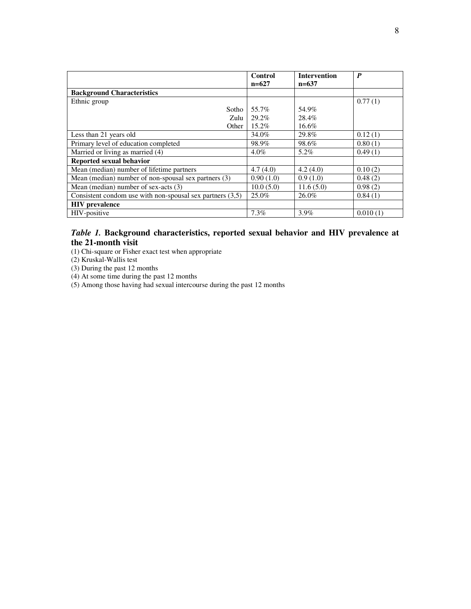|                                                             | Control   | <b>Intervention</b> | $\boldsymbol{P}$ |
|-------------------------------------------------------------|-----------|---------------------|------------------|
|                                                             | $n=627$   | $n=637$             |                  |
| <b>Background Characteristics</b>                           |           |                     |                  |
| Ethnic group                                                |           |                     | 0.77(1)          |
| Sotho                                                       | 55.7%     | 54.9%               |                  |
| Zulu                                                        | 29.2%     | 28.4%               |                  |
| Other                                                       | $15.2\%$  | 16.6%               |                  |
| Less than 21 years old                                      | 34.0%     | 29.8%               | 0.12(1)          |
| Primary level of education completed                        | 98.9%     | 98.6%               | 0.80(1)          |
| Married or living as married (4)                            | $4.0\%$   | 5.2%                | 0.49(1)          |
| Reported sexual behavior                                    |           |                     |                  |
| Mean (median) number of lifetime partners                   | 4.7(4.0)  | 4.2(4.0)            | 0.10(2)          |
| Mean (median) number of non-spousal sex partners (3)        | 0.90(1.0) | 0.9(1.0)            | 0.48(2)          |
| Mean (median) number of sex-acts (3)                        | 10.0(5.0) | 11.6(5.0)           | 0.98(2)          |
| Consistent condom use with non-spousal sex partners $(3.5)$ | 25.0%     | 26.0%               | 0.84(1)          |
| <b>HIV</b> prevalence                                       |           |                     |                  |
| HIV-positive                                                | 7.3%      | 3.9%                | 0.010(1)         |

### *Table 1.* **Background characteristics, reported sexual behavior and HIV prevalence at the 21-month visit**

(1) Chi-square or Fisher exact test when appropriate

(2) Kruskal-Wallis test

(3) During the past 12 months

(4) At some time during the past 12 months

(5) Among those having had sexual intercourse during the past 12 months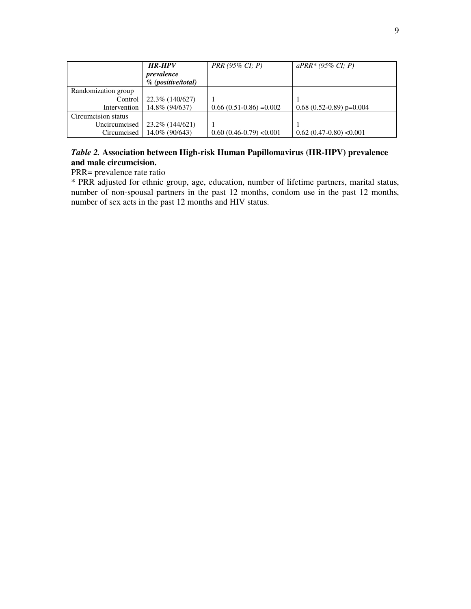|                     | <b>HR-HPV</b>         | $PRR (95\% CI; P)$        | $aPRR*(95\% CI; P)$          |
|---------------------|-----------------------|---------------------------|------------------------------|
|                     | prevalence            |                           |                              |
|                     | $\%$ (positive/total) |                           |                              |
| Randomization group |                       |                           |                              |
| Control             | 22.3\% (140/627)      |                           |                              |
| Intervention        | 14.8% (94/637)        | $0.66(0.51-0.86) = 0.002$ | $0.68(0.52-0.89)$ p= $0.004$ |
| Circumcision status |                       |                           |                              |
| Uncircumcised       | 23.2\% (144/621)      |                           |                              |
| Circumcised         | 14.0\% (90/643)       | $0.60(0.46-0.79)$ < 0.001 | $0.62(0.47-0.80)$ < 0.001    |

## *Table 2.* **Association between High-risk Human Papillomavirus (HR-HPV) prevalence and male circumcision.**

# PRR= prevalence rate ratio

\* PRR adjusted for ethnic group, age, education, number of lifetime partners, marital status, number of non-spousal partners in the past 12 months, condom use in the past 12 months, number of sex acts in the past 12 months and HIV status.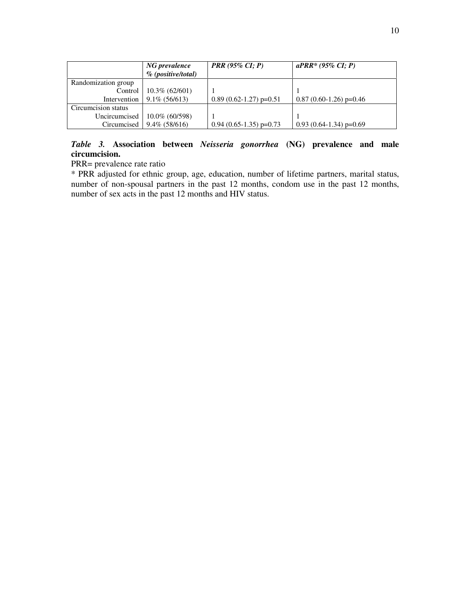|                     | NG prevalence<br>$\%$ (positive/total) | <b>PRR</b> (95% CI; P)    | $aPRR*(95\% CI; P)$         |
|---------------------|----------------------------------------|---------------------------|-----------------------------|
| Randomization group |                                        |                           |                             |
| Control             | $10.3\%$ (62/601)                      |                           |                             |
| Intervention        | $9.1\%$ (56/613)                       | $0.89(0.62-1.27)$ p=0.51  | $0.87(0.60-1.26)$ p=0.46    |
| Circumcision status |                                        |                           |                             |
| Uncircumcised       | $10.0\%$ (60/598)                      |                           |                             |
| Circumcised         | $9.4\%$ (58/616)                       | $0.94$ (0.65-1.35) p=0.73 | $0.93(0.64-1.34)$ p= $0.69$ |

# *Table 3.* **Association between** *Neisseria gonorrhea* **(NG) prevalence and male circumcision.**

PRR= prevalence rate ratio

\* PRR adjusted for ethnic group, age, education, number of lifetime partners, marital status, number of non-spousal partners in the past 12 months, condom use in the past 12 months, number of sex acts in the past 12 months and HIV status.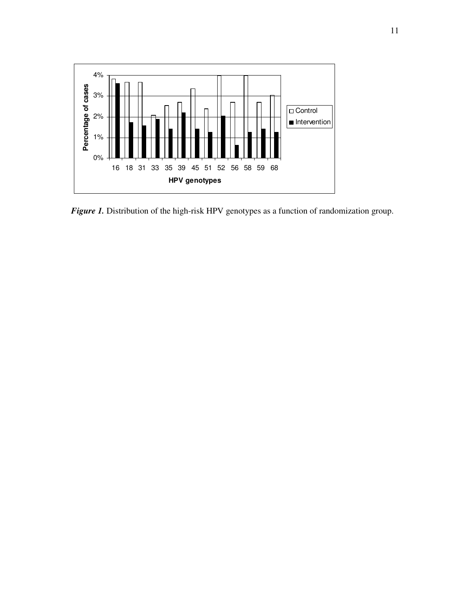

*Figure 1*. Distribution of the high-risk HPV genotypes as a function of randomization group.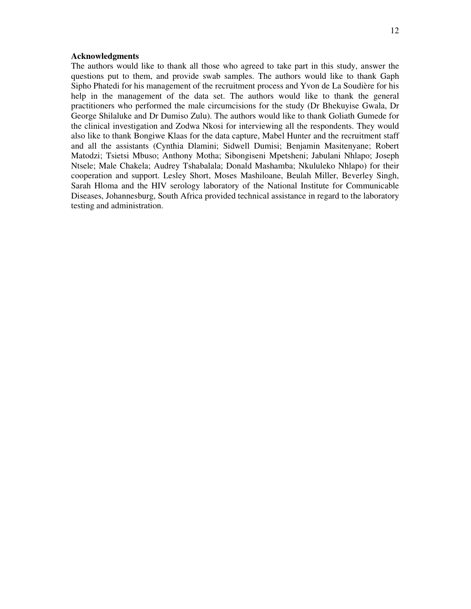#### **Acknowledgments**

The authors would like to thank all those who agreed to take part in this study, answer the questions put to them, and provide swab samples. The authors would like to thank Gaph Sipho Phatedi for his management of the recruitment process and Yvon de La Soudière for his help in the management of the data set. The authors would like to thank the general practitioners who performed the male circumcisions for the study (Dr Bhekuyise Gwala, Dr George Shilaluke and Dr Dumiso Zulu). The authors would like to thank Goliath Gumede for the clinical investigation and Zodwa Nkosi for interviewing all the respondents. They would also like to thank Bongiwe Klaas for the data capture, Mabel Hunter and the recruitment staff and all the assistants (Cynthia Dlamini; Sidwell Dumisi; Benjamin Masitenyane; Robert Matodzi; Tsietsi Mbuso; Anthony Motha; Sibongiseni Mpetsheni; Jabulani Nhlapo; Joseph Ntsele; Male Chakela; Audrey Tshabalala; Donald Mashamba; Nkululeko Nhlapo) for their cooperation and support. Lesley Short, Moses Mashiloane, Beulah Miller, Beverley Singh, Sarah Hloma and the HIV serology laboratory of the National Institute for Communicable Diseases, Johannesburg, South Africa provided technical assistance in regard to the laboratory testing and administration.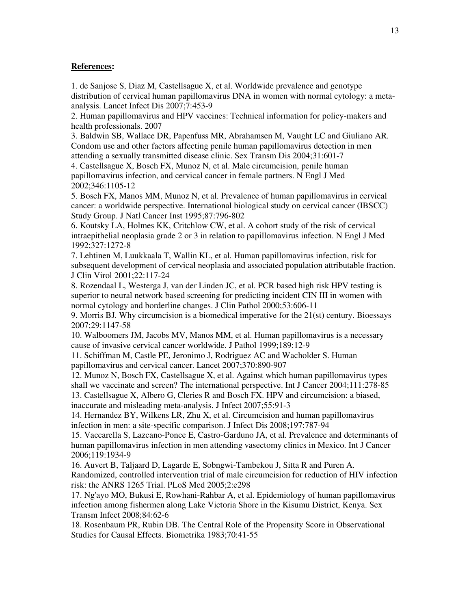#### **References:**

1. de Sanjose S, Diaz M, Castellsague X, et al. Worldwide prevalence and genotype distribution of cervical human papillomavirus DNA in women with normal cytology: a metaanalysis. Lancet Infect Dis 2007;7:453-9

2. Human papillomavirus and HPV vaccines: Technical information for policy-makers and health professionals. 2007

3. Baldwin SB, Wallace DR, Papenfuss MR, Abrahamsen M, Vaught LC and Giuliano AR. Condom use and other factors affecting penile human papillomavirus detection in men attending a sexually transmitted disease clinic. Sex Transm Dis 2004;31:601-7

4. Castellsague X, Bosch FX, Munoz N, et al. Male circumcision, penile human papillomavirus infection, and cervical cancer in female partners. N Engl J Med 2002;346:1105-12

5. Bosch FX, Manos MM, Munoz N, et al. Prevalence of human papillomavirus in cervical cancer: a worldwide perspective. International biological study on cervical cancer (IBSCC) Study Group. J Natl Cancer Inst 1995;87:796-802

6. Koutsky LA, Holmes KK, Critchlow CW, et al. A cohort study of the risk of cervical intraepithelial neoplasia grade 2 or 3 in relation to papillomavirus infection. N Engl J Med 1992;327:1272-8

7. Lehtinen M, Luukkaala T, Wallin KL, et al. Human papillomavirus infection, risk for subsequent development of cervical neoplasia and associated population attributable fraction. J Clin Virol 2001;22:117-24

8. Rozendaal L, Westerga J, van der Linden JC, et al. PCR based high risk HPV testing is superior to neural network based screening for predicting incident CIN III in women with normal cytology and borderline changes. J Clin Pathol 2000;53:606-11

9. Morris BJ. Why circumcision is a biomedical imperative for the 21(st) century. Bioessays 2007;29:1147-58

10. Walboomers JM, Jacobs MV, Manos MM, et al. Human papillomavirus is a necessary cause of invasive cervical cancer worldwide. J Pathol 1999;189:12-9

11. Schiffman M, Castle PE, Jeronimo J, Rodriguez AC and Wacholder S. Human papillomavirus and cervical cancer. Lancet 2007;370:890-907

12. Munoz N, Bosch FX, Castellsague X, et al. Against which human papillomavirus types shall we vaccinate and screen? The international perspective. Int J Cancer 2004;111:278-85 13. Castellsague X, Albero G, Cleries R and Bosch FX. HPV and circumcision: a biased,

inaccurate and misleading meta-analysis. J Infect 2007;55:91-3

14. Hernandez BY, Wilkens LR, Zhu X, et al. Circumcision and human papillomavirus infection in men: a site-specific comparison. J Infect Dis 2008;197:787-94

15. Vaccarella S, Lazcano-Ponce E, Castro-Garduno JA, et al. Prevalence and determinants of human papillomavirus infection in men attending vasectomy clinics in Mexico. Int J Cancer 2006;119:1934-9

16. Auvert B, Taljaard D, Lagarde E, Sobngwi-Tambekou J, Sitta R and Puren A. Randomized, controlled intervention trial of male circumcision for reduction of HIV infection risk: the ANRS 1265 Trial. PLoS Med 2005;2:e298

17. Ng'ayo MO, Bukusi E, Rowhani-Rahbar A, et al. Epidemiology of human papillomavirus infection among fishermen along Lake Victoria Shore in the Kisumu District, Kenya. Sex Transm Infect 2008;84:62-6

18. Rosenbaum PR, Rubin DB. The Central Role of the Propensity Score in Observational Studies for Causal Effects. Biometrika 1983;70:41-55